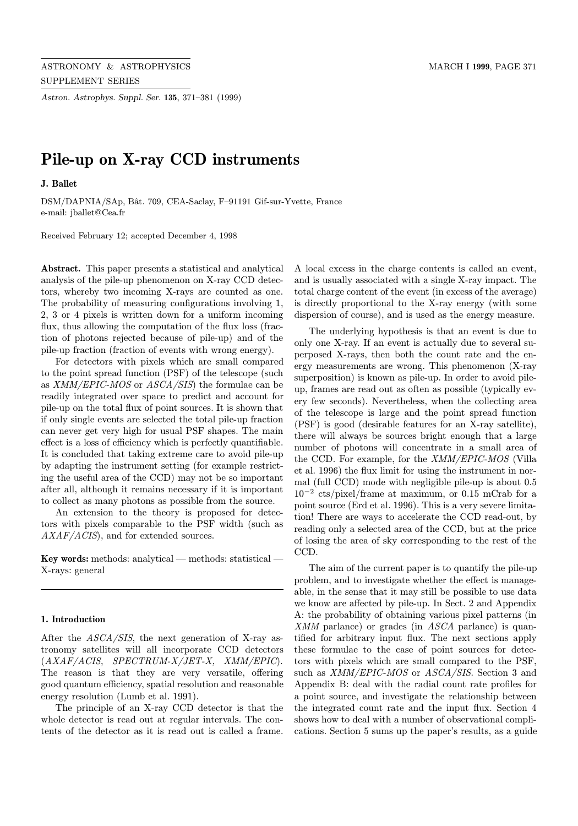Astron. Astrophys. Suppl. Ser. 135, 371–381 (1999)

# Pile-up on X-ray CCD instruments

J. Ballet

DSM/DAPNIA/SAp, Bât. 709, CEA-Saclay, F-91191 Gif-sur-Yvette, France e-mail: jballet@Cea.fr

Received February 12; accepted December 4, 1998

Abstract. This paper presents a statistical and analytical analysis of the pile-up phenomenon on X-ray CCD detectors, whereby two incoming X-rays are counted as one. The probability of measuring configurations involving 1, 2, 3 or 4 pixels is written down for a uniform incoming flux, thus allowing the computation of the flux loss (fraction of photons rejected because of pile-up) and of the pile-up fraction (fraction of events with wrong energy).

For detectors with pixels which are small compared to the point spread function (PSF) of the telescope (such as XMM/EPIC-MOS or ASCA/SIS) the formulae can be readily integrated over space to predict and account for pile-up on the total flux of point sources. It is shown that if only single events are selected the total pile-up fraction can never get very high for usual PSF shapes. The main effect is a loss of efficiency which is perfectly quantifiable. It is concluded that taking extreme care to avoid pile-up by adapting the instrument setting (for example restricting the useful area of the CCD) may not be so important after all, although it remains necessary if it is important to collect as many photons as possible from the source.

An extension to the theory is proposed for detectors with pixels comparable to the PSF width (such as AXAF/ACIS), and for extended sources.

Key words: methods: analytical — methods: statistical — X-rays: general

## 1. Introduction

After the ASCA/SIS, the next generation of X-ray astronomy satellites will all incorporate CCD detectors  $(AXAF/ACIS, SPECTRUM-X/JET-X, XMM/EPIC).$ The reason is that they are very versatile, offering good quantum efficiency, spatial resolution and reasonable energy resolution (Lumb et al. 1991).

The principle of an X-ray CCD detector is that the whole detector is read out at regular intervals. The contents of the detector as it is read out is called a frame.

A local excess in the charge contents is called an event, and is usually associated with a single X-ray impact. The total charge content of the event (in excess of the average) is directly proportional to the X-ray energy (with some dispersion of course), and is used as the energy measure.

The underlying hypothesis is that an event is due to only one X-ray. If an event is actually due to several superposed X-rays, then both the count rate and the energy measurements are wrong. This phenomenon (X-ray superposition) is known as pile-up. In order to avoid pileup, frames are read out as often as possible (typically every few seconds). Nevertheless, when the collecting area of the telescope is large and the point spread function (PSF) is good (desirable features for an X-ray satellite), there will always be sources bright enough that a large number of photons will concentrate in a small area of the CCD. For example, for the XMM/EPIC-MOS (Villa et al. 1996) the flux limit for using the instrument in normal (full CCD) mode with negligible pile-up is about 0.5 10<sup>−</sup><sup>2</sup> cts/pixel/frame at maximum, or 0.15 mCrab for a point source (Erd et al. 1996). This is a very severe limitation! There are ways to accelerate the CCD read-out, by reading only a selected area of the CCD, but at the price of losing the area of sky corresponding to the rest of the CCD.

The aim of the current paper is to quantify the pile-up problem, and to investigate whether the effect is manageable, in the sense that it may still be possible to use data we know are affected by pile-up. In Sect. 2 and Appendix A: the probability of obtaining various pixel patterns (in XMM parlance) or grades (in ASCA parlance) is quantified for arbitrary input flux. The next sections apply these formulae to the case of point sources for detectors with pixels which are small compared to the PSF, such as XMM/EPIC-MOS or ASCA/SIS. Section 3 and Appendix B: deal with the radial count rate profiles for a point source, and investigate the relationship between the integrated count rate and the input flux. Section 4 shows how to deal with a number of observational complications. Section 5 sums up the paper's results, as a guide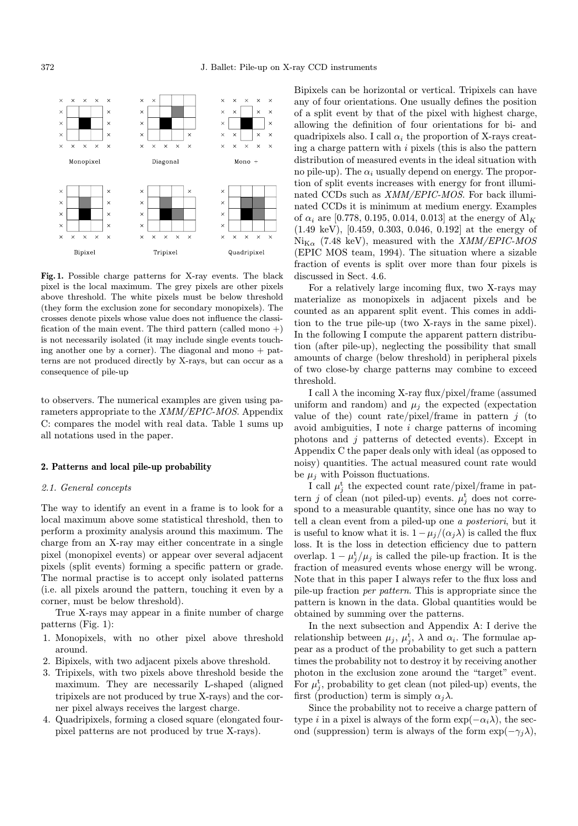

Fig. 1. Possible charge patterns for X-ray events. The black pixel is the local maximum. The grey pixels are other pixels above threshold. The white pixels must be below threshold (they form the exclusion zone for secondary monopixels). The crosses denote pixels whose value does not influence the classification of the main event. The third pattern (called mono +) is not necessarily isolated (it may include single events touching another one by a corner). The diagonal and mono  $+$  patterns are not produced directly by X-rays, but can occur as a consequence of pile-up

to observers. The numerical examples are given using parameters appropriate to the XMM/EPIC-MOS. Appendix C: compares the model with real data. Table 1 sums up all notations used in the paper.

## 2. Patterns and local pile-up probability

## 2.1. General concepts

The way to identify an event in a frame is to look for a local maximum above some statistical threshold, then to perform a proximity analysis around this maximum. The charge from an X-ray may either concentrate in a single pixel (monopixel events) or appear over several adjacent pixels (split events) forming a specific pattern or grade. The normal practise is to accept only isolated patterns (i.e. all pixels around the pattern, touching it even by a corner, must be below threshold).

True X-rays may appear in a finite number of charge patterns (Fig. 1):

- 1. Monopixels, with no other pixel above threshold around.
- 2. Bipixels, with two adjacent pixels above threshold.
- 3. Tripixels, with two pixels above threshold beside the maximum. They are necessarily L-shaped (aligned tripixels are not produced by true X-rays) and the corner pixel always receives the largest charge.
- 4. Quadripixels, forming a closed square (elongated fourpixel patterns are not produced by true X-rays).

Bipixels can be horizontal or vertical. Tripixels can have any of four orientations. One usually defines the position of a split event by that of the pixel with highest charge, allowing the definition of four orientations for bi- and quadripixels also. I call  $\alpha_i$  the proportion of X-rays creating a charge pattern with  $i$  pixels (this is also the pattern distribution of measured events in the ideal situation with no pile-up). The  $\alpha_i$  usually depend on energy. The proportion of split events increases with energy for front illuminated CCDs such as XMM/EPIC-MOS. For back illuminated CCDs it is minimum at medium energy. Examples of  $\alpha_i$  are [0.778, 0.195, 0.014, 0.013] at the energy of  $\text{Al}_K$ (1.49 keV), [0.459, 0.303, 0.046, 0.192] at the energy of  $Ni_{K\alpha}$  (7.48 keV), measured with the *XMM/EPIC-MOS* (EPIC MOS team, 1994). The situation where a sizable fraction of events is split over more than four pixels is discussed in Sect. 4.6.

For a relatively large incoming flux, two X-rays may materialize as monopixels in adjacent pixels and be counted as an apparent split event. This comes in addition to the true pile-up (two X-rays in the same pixel). In the following I compute the apparent pattern distribution (after pile-up), neglecting the possibility that small amounts of charge (below threshold) in peripheral pixels of two close-by charge patterns may combine to exceed threshold.

I call  $\lambda$  the incoming X-ray flux/pixel/frame (assumed uniform and random) and  $\mu_j$  the expected (expectation value of the) count rate/pixel/frame in pattern  $j$  (to avoid ambiguities,  $I$  note  $i$  charge patterns of incoming photons and j patterns of detected events). Except in Appendix C the paper deals only with ideal (as opposed to noisy) quantities. The actual measured count rate would be  $\mu_i$  with Poisson fluctuations.

I call  $\mu_j^t$  the expected count rate/pixel/frame in pattern j of clean (not piled-up) events.  $\mu_j^t$  does not correspond to a measurable quantity, since one has no way to tell a clean event from a piled-up one a posteriori, but it is useful to know what it is.  $1-\mu_i/(\alpha_i\lambda)$  is called the flux loss. It is the loss in detection efficiency due to pattern overlap.  $1 - \mu_j^t / \mu_j$  is called the pile-up fraction. It is the fraction of measured events whose energy will be wrong. Note that in this paper I always refer to the flux loss and pile-up fraction per pattern. This is appropriate since the pattern is known in the data. Global quantities would be obtained by summing over the patterns.

In the next subsection and Appendix A: I derive the relationship between  $\mu_j$ ,  $\mu_j^{\text{t}}$ ,  $\lambda$  and  $\alpha_i$ . The formulae appear as a product of the probability to get such a pattern times the probability not to destroy it by receiving another photon in the exclusion zone around the "target" event. For  $\mu_j^{\text{t}}$ , probability to get clean (not piled-up) events, the first (production) term is simply  $\alpha_i \lambda$ .

Since the probability not to receive a charge pattern of type *i* in a pixel is always of the form  $\exp(-\alpha_i \lambda)$ , the second (suppression) term is always of the form  $\exp(-\gamma_i \lambda)$ ,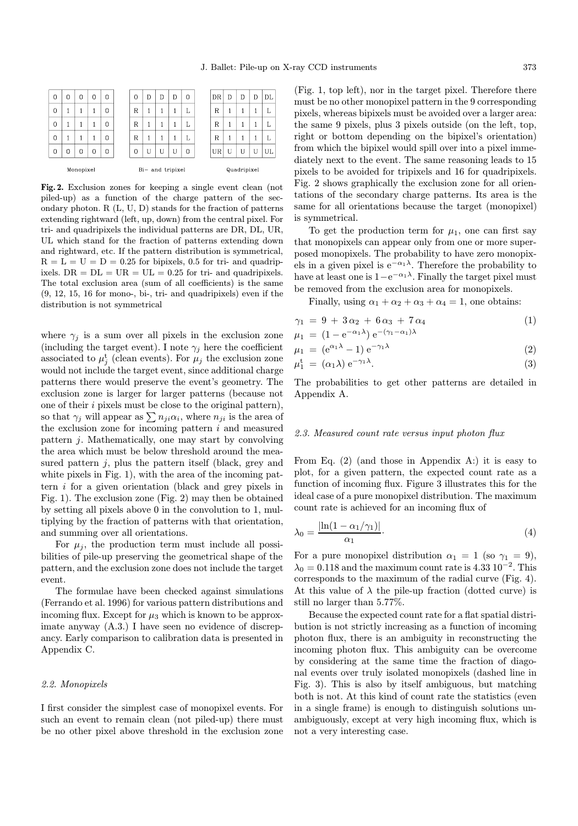| 0         | 0 | 0 | 0 | 0 | 0                | D | D | D | 0 |  | DR          | D | D | D | DL |
|-----------|---|---|---|---|------------------|---|---|---|---|--|-------------|---|---|---|----|
| 0         |   |   |   | 0 | R                | 1 |   | 1 | L |  | R           | 1 | 1 |   | L  |
| 0         |   |   | 1 | 0 | R                | 1 |   | 1 | L |  | R           | 1 | 1 |   | L  |
| 0         |   |   | 1 | 0 | R                | 1 |   | 1 | L |  | R           | 1 | 1 |   | L  |
| 0         | 0 | 0 | 0 | 0 | 0                | U | U | U | 0 |  | UR          | U | U | U | UL |
| Monopixel |   |   |   |   | Bi- and tripixel |   |   |   |   |  | Quadripixel |   |   |   |    |

Fig. 2. Exclusion zones for keeping a single event clean (not piled-up) as a function of the charge pattern of the secondary photon. R (L, U, D) stands for the fraction of patterns extending rightward (left, up, down) from the central pixel. For tri- and quadripixels the individual patterns are DR, DL, UR, UL which stand for the fraction of patterns extending down and rightward, etc. If the pattern distribution is symmetrical,  $R = L = U = D = 0.25$  for bipixels, 0.5 for tri- and quadripixels.  $DR = DL = UR = UL = 0.25$  for tri- and quadripixels. The total exclusion area (sum of all coefficients) is the same (9, 12, 15, 16 for mono-, bi-, tri- and quadripixels) even if the distribution is not symmetrical

where  $\gamma_j$  is a sum over all pixels in the exclusion zone (including the target event). I note  $\gamma_j$  here the coefficient associated to  $\mu_j^t$  (clean events). For  $\mu_j$  the exclusion zone would not include the target event, since additional charge patterns there would preserve the event's geometry. The exclusion zone is larger for larger patterns (because not one of their  $i$  pixels must be close to the original pattern), so that  $\gamma_j$  will appear as  $\sum n_{ji}\alpha_i$ , where  $n_{ji}$  is the area of the exclusion zone for incoming pattern  $i$  and measured pattern j. Mathematically, one may start by convolving the area which must be below threshold around the measured pattern  $j$ , plus the pattern itself (black, grey and white pixels in Fig. 1), with the area of the incoming pattern i for a given orientation (black and grey pixels in Fig. 1). The exclusion zone (Fig. 2) may then be obtained by setting all pixels above 0 in the convolution to 1, multiplying by the fraction of patterns with that orientation, and summing over all orientations.

For  $\mu_i$ , the production term must include all possibilities of pile-up preserving the geometrical shape of the pattern, and the exclusion zone does not include the target event.

The formulae have been checked against simulations (Ferrando et al. 1996) for various pattern distributions and incoming flux. Except for  $\mu_3$  which is known to be approximate anyway (A.3.) I have seen no evidence of discrepancy. Early comparison to calibration data is presented in Appendix C.

#### 2.2. Monopixels

I first consider the simplest case of monopixel events. For such an event to remain clean (not piled-up) there must be no other pixel above threshold in the exclusion zone (Fig. 1, top left), nor in the target pixel. Therefore there must be no other monopixel pattern in the 9 corresponding pixels, whereas bipixels must be avoided over a larger area: the same 9 pixels, plus 3 pixels outside (on the left, top, right or bottom depending on the bipixel's orientation) from which the bipixel would spill over into a pixel immediately next to the event. The same reasoning leads to 15 pixels to be avoided for tripixels and 16 for quadripixels. Fig. 2 shows graphically the exclusion zone for all orientations of the secondary charge patterns. Its area is the same for all orientations because the target (monopixel) is symmetrical.

To get the production term for  $\mu_1$ , one can first say that monopixels can appear only from one or more superposed monopixels. The probability to have zero monopixels in a given pixel is e<sup> $-\alpha_1\lambda$ </sup>. Therefore the probability to have at least one is  $1-e^{-\alpha_1\lambda}$ . Finally the target pixel must be removed from the exclusion area for monopixels.

Finally, using  $\alpha_1 + \alpha_2 + \alpha_3 + \alpha_4 = 1$ , one obtains:

$$
\gamma_1 = 9 + 3\alpha_2 + 6\alpha_3 + 7\alpha_4 \n\mu_1 = (1 - e^{-\alpha_1 \lambda}) e^{-(\gamma_1 - \alpha_1)\lambda}
$$
\n(1)

$$
\mu_1 = (1 - e^{-\gamma}) e^{-\gamma} \n\mu_1 = (e^{\alpha_1 \lambda} - 1) e^{-\gamma_1 \lambda}
$$
\n(2)

$$
\mu_1^{\mathbf{t}} = (\alpha_1 \lambda) e^{-\gamma_1 \lambda}.
$$
\n(3)

The probabilities to get other patterns are detailed in Appendix A.

## 2.3. Measured count rate versus input photon flux

From Eq. (2) (and those in Appendix A:) it is easy to plot, for a given pattern, the expected count rate as a function of incoming flux. Figure 3 illustrates this for the ideal case of a pure monopixel distribution. The maximum count rate is achieved for an incoming flux of

$$
\lambda_0 = \frac{|\ln(1 - \alpha_1/\gamma_1)|}{\alpha_1}.\tag{4}
$$

For a pure monopixel distribution  $\alpha_1 = 1$  (so  $\gamma_1 = 9$ ),  $\lambda_0 = 0.118$  and the maximum count rate is 4.33 10<sup>-2</sup>. This corresponds to the maximum of the radial curve (Fig. 4). At this value of  $\lambda$  the pile-up fraction (dotted curve) is still no larger than 5.77%.

Because the expected count rate for a flat spatial distribution is not strictly increasing as a function of incoming photon flux, there is an ambiguity in reconstructing the incoming photon flux. This ambiguity can be overcome by considering at the same time the fraction of diagonal events over truly isolated monopixels (dashed line in Fig. 3). This is also by itself ambiguous, but matching both is not. At this kind of count rate the statistics (even in a single frame) is enough to distinguish solutions unambiguously, except at very high incoming flux, which is not a very interesting case.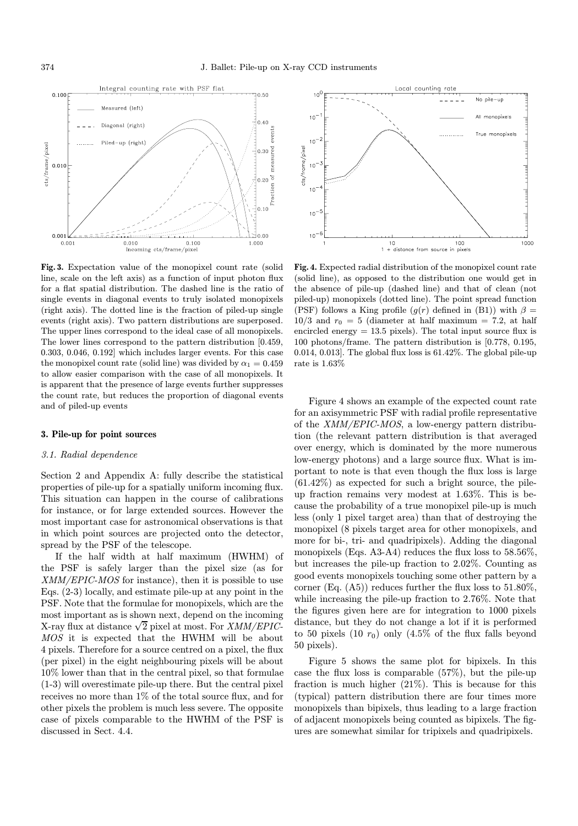

Fig. 3. Expectation value of the monopixel count rate (solid line, scale on the left axis) as a function of input photon flux for a flat spatial distribution. The dashed line is the ratio of single events in diagonal events to truly isolated monopixels (right axis). The dotted line is the fraction of piled-up single events (right axis). Two pattern distributions are superposed. The upper lines correspond to the ideal case of all monopixels. The lower lines correspond to the pattern distribution [0.459, 0.303, 0.046, 0.192] which includes larger events. For this case the monopixel count rate (solid line) was divided by  $\alpha_1 = 0.459$ to allow easier comparison with the case of all monopixels. It is apparent that the presence of large events further suppresses the count rate, but reduces the proportion of diagonal events and of piled-up events

#### 3. Pile-up for point sources

## 3.1. Radial dependence

Section 2 and Appendix A: fully describe the statistical properties of pile-up for a spatially uniform incoming flux. This situation can happen in the course of calibrations for instance, or for large extended sources. However the most important case for astronomical observations is that in which point sources are projected onto the detector, spread by the PSF of the telescope.

If the half width at half maximum (HWHM) of the PSF is safely larger than the pixel size (as for XMM/EPIC-MOS for instance), then it is possible to use Eqs. (2-3) locally, and estimate pile-up at any point in the PSF. Note that the formulae for monopixels, which are the most important as is shown next, depend on the incoming X-ray flux at distance  $\sqrt{2}$  pixel at most. For *XMM/EPIC*-MOS it is expected that the HWHM will be about 4 pixels. Therefore for a source centred on a pixel, the flux (per pixel) in the eight neighbouring pixels will be about 10% lower than that in the central pixel, so that formulae (1-3) will overestimate pile-up there. But the central pixel receives no more than 1% of the total source flux, and for other pixels the problem is much less severe. The opposite case of pixels comparable to the HWHM of the PSF is discussed in Sect. 4.4.



Fig. 4. Expected radial distribution of the monopixel count rate (solid line), as opposed to the distribution one would get in the absence of pile-up (dashed line) and that of clean (not piled-up) monopixels (dotted line). The point spread function (PSF) follows a King profile  $(g(r)$  defined in (B1)) with  $\beta =$  $10/3$  and  $r_0 = 5$  (diameter at half maximum = 7.2, at half encircled energy = 13.5 pixels). The total input source flux is 100 photons/frame. The pattern distribution is [0.778, 0.195, 0.014, 0.013]. The global flux loss is 61.42%. The global pile-up rate is 1.63%

Figure 4 shows an example of the expected count rate for an axisymmetric PSF with radial profile representative of the XMM/EPIC-MOS, a low-energy pattern distribution (the relevant pattern distribution is that averaged over energy, which is dominated by the more numerous low-energy photons) and a large source flux. What is important to note is that even though the flux loss is large (61.42%) as expected for such a bright source, the pileup fraction remains very modest at 1.63%. This is because the probability of a true monopixel pile-up is much less (only 1 pixel target area) than that of destroying the monopixel (8 pixels target area for other monopixels, and more for bi-, tri- and quadripixels). Adding the diagonal monopixels (Eqs. A3-A4) reduces the flux loss to 58.56%, but increases the pile-up fraction to 2.02%. Counting as good events monopixels touching some other pattern by a corner (Eq.  $(A5)$ ) reduces further the flux loss to  $51.80\%$ , while increasing the pile-up fraction to 2.76%. Note that the figures given here are for integration to 1000 pixels distance, but they do not change a lot if it is performed to 50 pixels (10  $r_0$ ) only (4.5% of the flux falls beyond 50 pixels).

Figure 5 shows the same plot for bipixels. In this case the flux loss is comparable (57%), but the pile-up fraction is much higher (21%). This is because for this (typical) pattern distribution there are four times more monopixels than bipixels, thus leading to a large fraction of adjacent monopixels being counted as bipixels. The figures are somewhat similar for tripixels and quadripixels.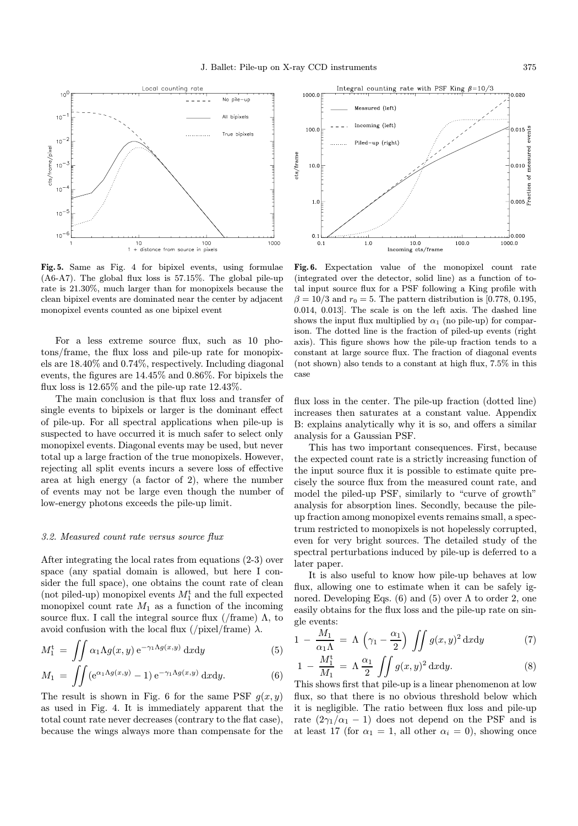

Fig. 5. Same as Fig. 4 for bipixel events, using formulae (A6-A7). The global flux loss is 57.15%. The global pile-up rate is 21.30%, much larger than for monopixels because the clean bipixel events are dominated near the center by adjacent monopixel events counted as one bipixel event

For a less extreme source flux, such as 10 photons/frame, the flux loss and pile-up rate for monopixels are 18.40% and 0.74%, respectively. Including diagonal events, the figures are 14.45% and 0.86%. For bipixels the flux loss is 12.65% and the pile-up rate 12.43%.

The main conclusion is that flux loss and transfer of single events to bipixels or larger is the dominant effect of pile-up. For all spectral applications when pile-up is suspected to have occurred it is much safer to select only monopixel events. Diagonal events may be used, but never total up a large fraction of the true monopixels. However, rejecting all split events incurs a severe loss of effective area at high energy (a factor of 2), where the number of events may not be large even though the number of low-energy photons exceeds the pile-up limit.

#### 3.2. Measured count rate versus source flux

After integrating the local rates from equations (2-3) over space (any spatial domain is allowed, but here I consider the full space), one obtains the count rate of clean (not piled-up) monopixel events  $M_1^{\rm t}$  and the full expected monopixel count rate  $M_1$  as a function of the incoming source flux. I call the integral source flux (/frame)  $\Lambda$ , to avoid confusion with the local flux (/pixel/frame)  $\lambda$ .

$$
M_1^{\rm t} = \iint \alpha_1 \Lambda g(x, y) \, \mathrm{e}^{-\gamma_1 \Lambda g(x, y)} \, \mathrm{d}x \mathrm{d}y \tag{5}
$$

$$
M_1 = \iint (e^{\alpha_1 \Lambda g(x,y)} - 1) e^{-\gamma_1 \Lambda g(x,y)} dx dy.
$$
 (6)

The result is shown in Fig. 6 for the same PSF  $g(x, y)$ as used in Fig. 4. It is immediately apparent that the total count rate never decreases (contrary to the flat case), because the wings always more than compensate for the



Fig. 6. Expectation value of the monopixel count rate (integrated over the detector, solid line) as a function of total input source flux for a PSF following a King profile with  $\beta = 10/3$  and  $r_0 = 5$ . The pattern distribution is [0.778, 0.195, 0.014, 0.013]. The scale is on the left axis. The dashed line shows the input flux multiplied by  $\alpha_1$  (no pile-up) for comparison. The dotted line is the fraction of piled-up events (right axis). This figure shows how the pile-up fraction tends to a constant at large source flux. The fraction of diagonal events (not shown) also tends to a constant at high flux, 7.5% in this case

flux loss in the center. The pile-up fraction (dotted line) increases then saturates at a constant value. Appendix B: explains analytically why it is so, and offers a similar analysis for a Gaussian PSF.

This has two important consequences. First, because the expected count rate is a strictly increasing function of the input source flux it is possible to estimate quite precisely the source flux from the measured count rate, and model the piled-up PSF, similarly to "curve of growth" analysis for absorption lines. Secondly, because the pileup fraction among monopixel events remains small, a spectrum restricted to monopixels is not hopelessly corrupted, even for very bright sources. The detailed study of the spectral perturbations induced by pile-up is deferred to a later paper.

It is also useful to know how pile-up behaves at low flux, allowing one to estimate when it can be safely ignored. Developing Eqs. (6) and (5) over  $\Lambda$  to order 2, one easily obtains for the flux loss and the pile-up rate on single events:

$$
1 - \frac{M_1}{\alpha_1 \Lambda} = \Lambda \left(\gamma_1 - \frac{\alpha_1}{2}\right) \iint g(x, y)^2 dx dy \tag{7}
$$

$$
1 - \frac{M_1^{\mathrm{t}}}{M_1} = \Lambda \frac{\alpha_1}{2} \iint g(x, y)^2 \, \mathrm{d}x \mathrm{d}y. \tag{8}
$$

This shows first that pile-up is a linear phenomenon at low flux, so that there is no obvious threshold below which it is negligible. The ratio between flux loss and pile-up rate  $(2\gamma_1/\alpha_1 - 1)$  does not depend on the PSF and is at least 17 (for  $\alpha_1 = 1$ , all other  $\alpha_i = 0$ ), showing once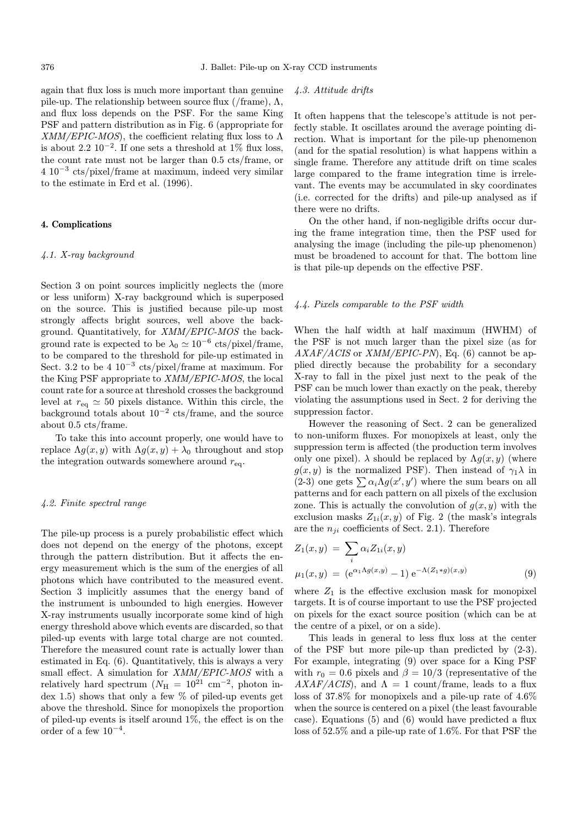again that flux loss is much more important than genuine pile-up. The relationship between source flux (/frame),  $\Lambda$ , and flux loss depends on the PSF. For the same King PSF and pattern distribution as in Fig. 6 (appropriate for XMM/EPIC-MOS), the coefficient relating flux loss to Λ is about 2.2  $10^{-2}$ . If one sets a threshold at 1% flux loss, the count rate must not be larger than 0.5 cts/frame, or 4 10<sup>−</sup><sup>3</sup> cts/pixel/frame at maximum, indeed very similar to the estimate in Erd et al. (1996).

## 4. Complications

## 4.1. X-ray background

Section 3 on point sources implicitly neglects the (more or less uniform) X-ray background which is superposed on the source. This is justified because pile-up most strongly affects bright sources, well above the background. Quantitatively, for XMM/EPIC-MOS the background rate is expected to be  $\lambda_0 \simeq 10^{-6}$  cts/pixel/frame, to be compared to the threshold for pile-up estimated in Sect. 3.2 to be 4  $10^{-3}$  cts/pixel/frame at maximum. For the King PSF appropriate to XMM/EPIC-MOS, the local count rate for a source at threshold crosses the background level at  $r_{eq} \simeq 50$  pixels distance. Within this circle, the background totals about  $10^{-2}$  cts/frame, and the source about 0.5 cts/frame.

To take this into account properly, one would have to replace  $\Lambda g(x, y)$  with  $\Lambda g(x, y) + \lambda_0$  throughout and stop the integration outwards somewhere around  $r_{eq}$ .

#### 4.2. Finite spectral range

The pile-up process is a purely probabilistic effect which does not depend on the energy of the photons, except through the pattern distribution. But it affects the energy measurement which is the sum of the energies of all photons which have contributed to the measured event. Section 3 implicitly assumes that the energy band of the instrument is unbounded to high energies. However X-ray instruments usually incorporate some kind of high energy threshold above which events are discarded, so that piled-up events with large total charge are not counted. Therefore the measured count rate is actually lower than estimated in Eq. (6). Quantitatively, this is always a very small effect. A simulation for XMM/EPIC-MOS with a relatively hard spectrum ( $N_{\rm H} = 10^{21}$  cm<sup>-2</sup>, photon index 1.5) shows that only a few  $\%$  of piled-up events get above the threshold. Since for monopixels the proportion of piled-up events is itself around 1%, the effect is on the order of a few  $10^{-4}$ .

#### 4.3. Attitude drifts

It often happens that the telescope's attitude is not perfectly stable. It oscillates around the average pointing direction. What is important for the pile-up phenomenon (and for the spatial resolution) is what happens within a single frame. Therefore any attitude drift on time scales large compared to the frame integration time is irrelevant. The events may be accumulated in sky coordinates (i.e. corrected for the drifts) and pile-up analysed as if there were no drifts.

On the other hand, if non-negligible drifts occur during the frame integration time, then the PSF used for analysing the image (including the pile-up phenomenon) must be broadened to account for that. The bottom line is that pile-up depends on the effective PSF.

#### 4.4. Pixels comparable to the PSF width

When the half width at half maximum (HWHM) of the PSF is not much larger than the pixel size (as for  $AXAF/ACIS$  or  $XMM/EPIC-PN$ , Eq. (6) cannot be applied directly because the probability for a secondary X-ray to fall in the pixel just next to the peak of the PSF can be much lower than exactly on the peak, thereby violating the assumptions used in Sect. 2 for deriving the suppression factor.

However the reasoning of Sect. 2 can be generalized to non-uniform fluxes. For monopixels at least, only the suppression term is affected (the production term involves only one pixel).  $\lambda$  should be replaced by  $\Lambda g(x, y)$  (where  $g(x, y)$  is the normalized PSF). Then instead of  $\gamma_1 \lambda$  in  $(2-3)$  one gets  $\sum \alpha_i \Lambda g(x', y')$  where the sum bears on all patterns and for each pattern on all pixels of the exclusion zone. This is actually the convolution of  $g(x, y)$  with the exclusion masks  $Z_{1i}(x, y)$  of Fig. 2 (the mask's integrals are the  $n_{ji}$  coefficients of Sect. 2.1). Therefore

$$
Z_1(x, y) = \sum_{i} \alpha_i Z_{1i}(x, y)
$$
  

$$
\mu_1(x, y) = (e^{\alpha_1 \Lambda g(x, y)} - 1) e^{-\Lambda (Z_1 * g)(x, y)}
$$
(9)

where  $Z_1$  is the effective exclusion mask for monopixel targets. It is of course important to use the PSF projected on pixels for the exact source position (which can be at the centre of a pixel, or on a side).

This leads in general to less flux loss at the center of the PSF but more pile-up than predicted by (2-3). For example, integrating (9) over space for a King PSF with  $r_0 = 0.6$  pixels and  $\beta = 10/3$  (representative of the  $AXAF/ACIS$ , and  $\Lambda = 1$  count/frame, leads to a flux loss of 37.8% for monopixels and a pile-up rate of 4.6% when the source is centered on a pixel (the least favourable case). Equations (5) and (6) would have predicted a flux loss of 52.5% and a pile-up rate of 1.6%. For that PSF the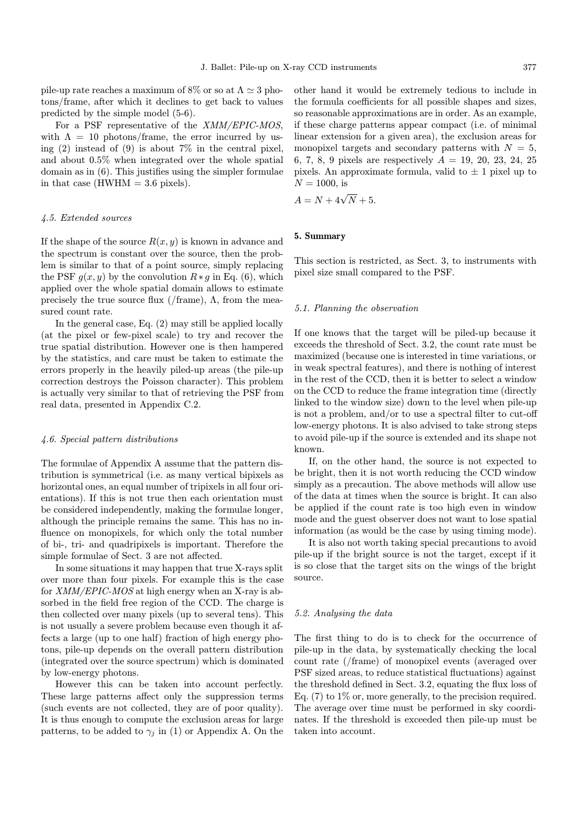pile-up rate reaches a maximum of 8% or so at  $\Lambda \simeq 3$  photons/frame, after which it declines to get back to values predicted by the simple model (5-6).

For a PSF representative of the XMM/EPIC-MOS, with  $\Lambda = 10$  photons/frame, the error incurred by using (2) instead of (9) is about  $7\%$  in the central pixel, and about 0.5% when integrated over the whole spatial domain as in (6). This justifies using the simpler formulae in that case (HWHM  $= 3.6$  pixels).

## 4.5. Extended sources

If the shape of the source  $R(x, y)$  is known in advance and the spectrum is constant over the source, then the problem is similar to that of a point source, simply replacing the PSF  $g(x, y)$  by the convolution  $R * g$  in Eq. (6), which applied over the whole spatial domain allows to estimate precisely the true source flux (/frame),  $\Lambda$ , from the measured count rate.

In the general case, Eq. (2) may still be applied locally (at the pixel or few-pixel scale) to try and recover the true spatial distribution. However one is then hampered by the statistics, and care must be taken to estimate the errors properly in the heavily piled-up areas (the pile-up correction destroys the Poisson character). This problem is actually very similar to that of retrieving the PSF from real data, presented in Appendix C.2.

#### 4.6. Special pattern distributions

The formulae of Appendix A assume that the pattern distribution is symmetrical (i.e. as many vertical bipixels as horizontal ones, an equal number of tripixels in all four orientations). If this is not true then each orientation must be considered independently, making the formulae longer, although the principle remains the same. This has no influence on monopixels, for which only the total number of bi-, tri- and quadripixels is important. Therefore the simple formulae of Sect. 3 are not affected.

In some situations it may happen that true X-rays split over more than four pixels. For example this is the case for XMM/EPIC-MOS at high energy when an X-ray is absorbed in the field free region of the CCD. The charge is then collected over many pixels (up to several tens). This is not usually a severe problem because even though it affects a large (up to one half) fraction of high energy photons, pile-up depends on the overall pattern distribution (integrated over the source spectrum) which is dominated by low-energy photons.

However this can be taken into account perfectly. These large patterns affect only the suppression terms (such events are not collected, they are of poor quality). It is thus enough to compute the exclusion areas for large patterns, to be added to  $\gamma_j$  in (1) or Appendix A. On the other hand it would be extremely tedious to include in the formula coefficients for all possible shapes and sizes, so reasonable approximations are in order. As an example, if these charge patterns appear compact (i.e. of minimal linear extension for a given area), the exclusion areas for monopixel targets and secondary patterns with  $N = 5$ , 6, 7, 8, 9 pixels are respectively  $A = 19, 20, 23, 24, 25$ pixels. An approximate formula, valid to  $\pm$  1 pixel up to  $N = 1000$ , is

$$
A = N + 4\sqrt{N} + 5.
$$

## 5. Summary

This section is restricted, as Sect. 3, to instruments with pixel size small compared to the PSF.

#### 5.1. Planning the observation

If one knows that the target will be piled-up because it exceeds the threshold of Sect. 3.2, the count rate must be maximized (because one is interested in time variations, or in weak spectral features), and there is nothing of interest in the rest of the CCD, then it is better to select a window on the CCD to reduce the frame integration time (directly linked to the window size) down to the level when pile-up is not a problem, and/or to use a spectral filter to cut-off low-energy photons. It is also advised to take strong steps to avoid pile-up if the source is extended and its shape not known.

If, on the other hand, the source is not expected to be bright, then it is not worth reducing the CCD window simply as a precaution. The above methods will allow use of the data at times when the source is bright. It can also be applied if the count rate is too high even in window mode and the guest observer does not want to lose spatial information (as would be the case by using timing mode).

It is also not worth taking special precautions to avoid pile-up if the bright source is not the target, except if it is so close that the target sits on the wings of the bright source.

#### 5.2. Analysing the data

The first thing to do is to check for the occurrence of pile-up in the data, by systematically checking the local count rate (/frame) of monopixel events (averaged over PSF sized areas, to reduce statistical fluctuations) against the threshold defined in Sect. 3.2, equating the flux loss of Eq. (7) to 1% or, more generally, to the precision required. The average over time must be performed in sky coordinates. If the threshold is exceeded then pile-up must be taken into account.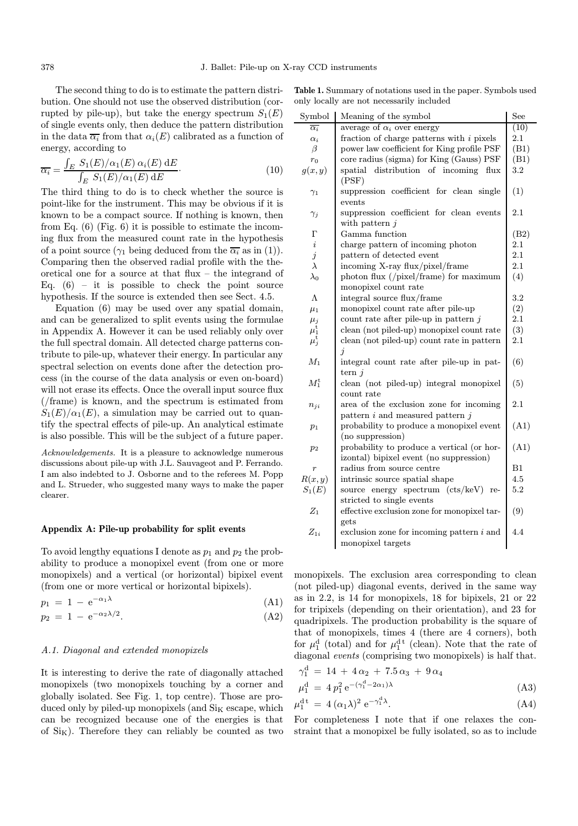The second thing to do is to estimate the pattern distribution. One should not use the observed distribution (corrupted by pile-up), but take the energy spectrum  $S_1(E)$ of single events only, then deduce the pattern distribution in the data  $\overline{\alpha_i}$  from that  $\alpha_i(E)$  calibrated as a function of energy, according to

$$
\overline{\alpha_i} = \frac{\int_E S_1(E)/\alpha_1(E) \alpha_i(E) \, \mathrm{d}E}{\int_E S_1(E)/\alpha_1(E) \, \mathrm{d}E}.
$$
\n(10)

The third thing to do is to check whether the source is point-like for the instrument. This may be obvious if it is known to be a compact source. If nothing is known, then from Eq. (6) (Fig. 6) it is possible to estimate the incoming flux from the measured count rate in the hypothesis of a point source ( $\gamma_1$  being deduced from the  $\overline{\alpha_i}$  as in (1)). Comparing then the observed radial profile with the theoretical one for a source at that flux – the integrand of Eq.  $(6)$  – it is possible to check the point source hypothesis. If the source is extended then see Sect. 4.5.

Equation (6) may be used over any spatial domain, and can be generalized to split events using the formulae in Appendix A. However it can be used reliably only over the full spectral domain. All detected charge patterns contribute to pile-up, whatever their energy. In particular any spectral selection on events done after the detection process (in the course of the data analysis or even on-board) will not erase its effects. Once the overall input source flux (/frame) is known, and the spectrum is estimated from  $S_1(E)/\alpha_1(E)$ , a simulation may be carried out to quantify the spectral effects of pile-up. An analytical estimate is also possible. This will be the subject of a future paper.

Acknowledgements. It is a pleasure to acknowledge numerous discussions about pile-up with J.L. Sauvageot and P. Ferrando. I am also indebted to J. Osborne and to the referees M. Popp and L. Strueder, who suggested many ways to make the paper clearer.

## Appendix A: Pile-up probability for split events

To avoid lengthy equations I denote as  $p_1$  and  $p_2$  the probability to produce a monopixel event (from one or more monopixels) and a vertical (or horizontal) bipixel event (from one or more vertical or horizontal bipixels).

$$
p_1 = 1 - e^{-\alpha_1 \lambda} \tag{A1}
$$

$$
p_2 = 1 - e^{-\alpha_2 \lambda/2}.\tag{A2}
$$

#### A.1. Diagonal and extended monopixels

It is interesting to derive the rate of diagonally attached monopixels (two monopixels touching by a corner and globally isolated. See Fig. 1, top centre). Those are produced only by piled-up monopixels (and  $\rm Si_K$  escape, which can be recognized because one of the energies is that of  $Si<sub>K</sub>$ ). Therefore they can reliably be counted as two

Table 1. Summary of notations used in the paper. Symbols used only locally are not necessarily included

| Symbol                | Meaning of the symbol                                                                 | See     |
|-----------------------|---------------------------------------------------------------------------------------|---------|
| $\overline{\alpha_i}$ | average of $\alpha_i$ over energy                                                     | (10)    |
| $\alpha_i$            | fraction of charge patterns with $i$ pixels                                           | 2.1     |
| $\beta$               | power law coefficient for King profile PSF                                            | (B1)    |
| $r_0$                 | core radius (sigma) for King (Gauss) PSF                                              | (B1)    |
| g(x,y)                | distribution of incoming<br>flux<br>$_{\rm spatial}$<br>(PSF)                         | 3.2     |
| $\gamma_1$            | suppression coefficient for clean single<br>events                                    | (1)     |
| $\gamma_j$            | suppression coefficient for clean events<br>with pattern $i$                          | 2.1     |
| $\Gamma$              | Gamma function                                                                        | (B2)    |
| $\it i$               | charge pattern of incoming photon                                                     | $2.1\,$ |
| $\boldsymbol{j}$      | pattern of detected event                                                             | $2.1\,$ |
| $\lambda$             | incoming X-ray flux/pixel/frame                                                       | 2.1     |
| $\lambda_0$           | photon flux $\frac{1}{\text{pixel}}$ frame) for maximum<br>monopixel count rate       | (4)     |
| Λ                     | integral source flux/frame                                                            | 3.2     |
| $\mu_1$               | monopixel count rate after pile-up                                                    | (2)     |
| $\mu_j$               | count rate after pile-up in pattern $j$                                               | $2.1\,$ |
| $\mu_1^{\rm t}$       | clean (not piled-up) monopixel count rate                                             | (3)     |
| $\mu_j^{\text{t}}$    | clean (not piled-up) count rate in pattern<br>$\dot{\eta}$                            | $2.1\,$ |
| $M_1$                 | integral count rate after pile-up in pat-<br>tern $j$                                 | (6)     |
| $M_1^{\rm t}$         | clean (not piled-up) integral monopixel<br>count rate                                 | (5)     |
| $n_{ji}$              | area of the exclusion zone for incoming<br>pattern $i$ and measured pattern $j$       | 2.1     |
| $p_1$                 | probability to produce a monopixel event<br>(no suppression)                          | (A1)    |
| $p_2$                 | probability to produce a vertical (or hor-<br>izontal) bipixel event (no suppression) | (A1)    |
| $\overline{r}$        | radius from source centre                                                             | B1      |
| R(x,y)                | intrinsic source spatial shape                                                        | 4.5     |
| $S_1(E)$              | source energy spectrum (cts/keV) re-                                                  | 5.2     |
|                       | stricted to single events                                                             |         |
| $Z_1$                 | effective exclusion zone for monopixel tar-<br>gets                                   | (9)     |
| $Z_{1i}$              | exclusion zone for incoming pattern $i$ and<br>monopixel targets                      | 4.4     |
|                       |                                                                                       |         |

monopixels. The exclusion area corresponding to clean (not piled-up) diagonal events, derived in the same way as in 2.2, is 14 for monopixels, 18 for bipixels, 21 or 22 for tripixels (depending on their orientation), and 23 for quadripixels. The production probability is the square of that of monopixels, times 4 (there are 4 corners), both for  $\mu_1^d$  (total) and for  $\mu_1^{d}$  (clean). Note that the rate of diagonal events (comprising two monopixels) is half that.

$$
\begin{aligned} \gamma_1^d &= 14 + 4\,\alpha_2 + 7.5\,\alpha_3 + 9\,\alpha_4\\ \mu_1^d &= 4\,p_1^2\,\mathrm{e}^{-(\gamma_1^d - 2\alpha_1)\lambda} \end{aligned} \tag{A3}
$$

$$
\mu_1^{\mathrm{d}\,t} \,=\, 4\,(\alpha_1\lambda)^2\,\mathrm{e}^{-\gamma_1^{\mathrm{d}\,\lambda}}.\tag{A4}
$$

For completeness I note that if one relaxes the constraint that a monopixel be fully isolated, so as to include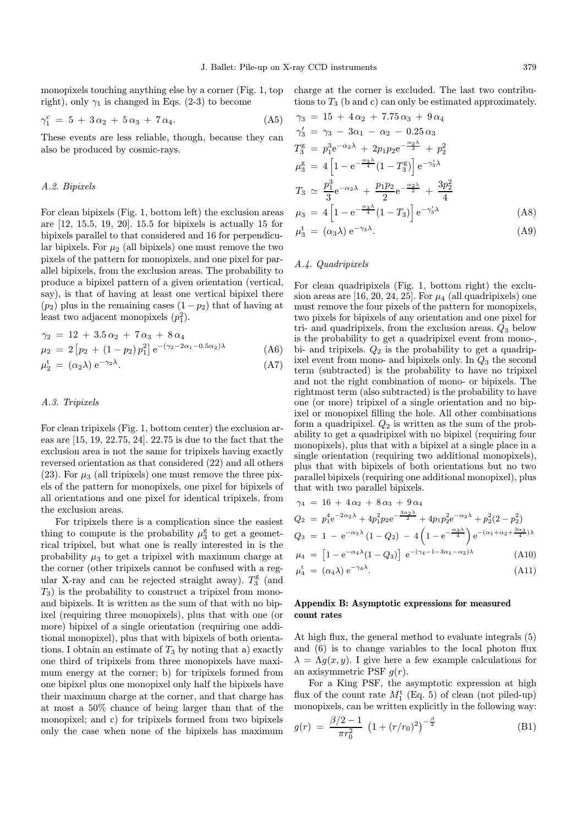monopixels touching anything else by a corner (Fig. 1, top right), only  $\gamma_1$  is changed in Eqs. (2-3) to become

$$
\gamma_1^c = 5 + 3\alpha_2 + 5\alpha_3 + 7\alpha_4. \tag{A5}
$$

These events are less reliable, though, because they can also be produced by cosmic-rays.

#### A.2. Bipixels

For clean bipixels (Fig. 1, bottom left) the exclusion areas are [12, 15.5, 19, 20]. 15.5 for bipixels is actually 15 for bipixels parallel to that considered and 16 for perpendicular bipixels. For  $\mu_2$  (all bipixels) one must remove the two pixels of the pattern for monopixels, and one pixel for parallel bipixels, from the exclusion areas. The probability to produce a bipixel pattern of a given orientation (vertical, say), is that of having at least one vertical bipixel there  $(p_2)$  plus in the remaining cases  $(1-p_2)$  that of having at least two adjacent monopixels  $(p_1^2)$ .

$$
\gamma_2 = 12 + 3.5 \alpha_2 + 7 \alpha_3 + 8 \alpha_4 \n\mu_2 = 2 [p_2 + (1 - p_2) p_1^2] e^{-(\gamma_2 - 2\alpha_1 - 0.5\alpha_2)\lambda}
$$
\n(A6)

$$
\mu_2^t = (\alpha_2 \lambda) e^{-\gamma_2 \lambda}.
$$
 (A7)

## A.3. Tripixels

For clean tripixels (Fig. 1, bottom center) the exclusion areas are [15, 19, 22.75, 24]. 22.75 is due to the fact that the exclusion area is not the same for tripixels having exactly reversed orientation as that considered (22) and all others (23). For  $\mu_3$  (all tripixels) one must remove the three pixels of the pattern for monopixels, one pixel for bipixels of all orientations and one pixel for identical tripixels, from the exclusion areas.

For tripixels there is a complication since the easiest thing to compute is the probability  $\mu_3^g$  to get a geometrical tripixel, but what one is really interested in is the probability  $\mu_3$  to get a tripixel with maximum charge at the corner (other tripixels cannot be confused with a regular X-ray and can be rejected straight away).  $T_3^{\text{g}}$  (and  $T_3$ ) is the probability to construct a tripixel from monoand bipixels. It is written as the sum of that with no bipixel (requiring three monopixels), plus that with one (or more) bipixel of a single orientation (requiring one additional monopixel), plus that with bipixels of both orientations. I obtain an estimate of  $T_3$  by noting that a) exactly one third of tripixels from three monopixels have maximum energy at the corner; b) for tripixels formed from one bipixel plus one monopixel only half the bipixels have their maximum charge at the corner, and that charge has at most a 50% chance of being larger than that of the monopixel; and c) for tripixels formed from two bipixels only the case when none of the bipixels has maximum

charge at the corner is excluded. The last two contributions to  $T_3$  (b and c) can only be estimated approximately.

$$
\gamma_3 = 15 + 4\alpha_2 + 7.75\alpha_3 + 9\alpha_4
$$
  
\n
$$
\gamma'_3 = \gamma_3 - 3\alpha_1 - \alpha_2 - 0.25\alpha_3
$$
  
\n
$$
T_3^g = p_1^3 e^{-\alpha_2 \lambda} + 2p_1 p_2 e^{-\frac{\alpha_2 \lambda}{2}} + p_2^2
$$
  
\n
$$
\mu_3^g = 4 \left[ 1 - e^{-\frac{\alpha_3 \lambda}{4}} (1 - T_3^g) \right] e^{-\gamma'_3 \lambda}
$$
  
\n
$$
T_3 \simeq \frac{p_1^3}{3} e^{-\alpha_2 \lambda} + \frac{p_1 p_2}{2} e^{-\frac{\alpha_2 \lambda}{2}} + \frac{3p_2^2}{4}
$$
  
\n
$$
\mu_3 = 4 \left[ 1 - e^{-\frac{\alpha_3 \lambda}{4}} (1 - T_3) \right] e^{-\gamma'_3 \lambda}
$$
 (A8)

$$
\mu_3^t = (\alpha_3 \lambda) e^{-\gamma_3 \lambda}.
$$
 (A9)

## A.4. Quadripixels

For clean quadripixels (Fig. 1, bottom right) the exclusion areas are [16, 20, 24, 25]. For  $\mu_4$  (all quadripixels) one must remove the four pixels of the pattern for monopixels, two pixels for bipixels of any orientation and one pixel for tri- and quadripixels, from the exclusion areas.  $Q_3$  below is the probability to get a quadripixel event from mono-, bi- and tripixels.  $Q_2$  is the probability to get a quadripixel event from mono- and bipixels only. In  $Q_3$  the second term (subtracted) is the probability to have no tripixel and not the right combination of mono- or bipixels. The rightmost term (also subtracted) is the probability to have one (or more) tripixel of a single orientation and no bipixel or monopixel filling the hole. All other combinations form a quadripixel.  $Q_2$  is written as the sum of the probability to get a quadripixel with no bipixel (requiring four monopixels), plus that with a bipixel at a single place in a single orientation (requiring two additional monopixels), plus that with bipixels of both orientations but no two parallel bipixels (requiring one additional monopixel), plus that with two parallel bipixels.

$$
\gamma_4 = 16 + 4\alpha_2 + 8\alpha_3 + 9\alpha_4
$$
  
\n
$$
Q_2 = p_1^4 e^{-2\alpha_2 \lambda} + 4p_1^2 p_2 e^{-\frac{3\alpha_2 \lambda}{2}} + 4p_1 p_2^2 e^{-\alpha_2 \lambda} + p_2^2 (2 - p_2^2)
$$
  
\n
$$
Q_3 = 1 - e^{-\alpha_3 \lambda} (1 - Q_2) - 4 \left( 1 - e^{-\frac{\alpha_3 \lambda}{4}} \right) e^{-(\alpha_1 + \alpha_2 + \frac{3\alpha_3}{4})\lambda}
$$
  
\n
$$
\mu_4 = \left[ 1 - e^{-\alpha_4 \lambda} (1 - Q_3) \right] e^{-(\gamma_4 - 1 - 3\alpha_1 - \alpha_2)\lambda}
$$
 (A10)

$$
\mu_4 = \begin{bmatrix} 1 & \mathbf{C} & \mathbf{C} & \mathbf{C} & \mathbf{C} \\ \mathbf{C} & \mathbf{C} & \mathbf{C} & \mathbf{C} \\ \mathbf{C} & \mathbf{C} & \mathbf{C} & \mathbf{C} \end{bmatrix} \mathbf{C} \tag{111}
$$

$$
\mu_4^t = (\alpha_4 \lambda) e^{-\gamma_4 \lambda}.
$$
 (A11)

## Appendix B: Asymptotic expressions for measured count rates

At high flux, the general method to evaluate integrals (5) and (6) is to change variables to the local photon flux  $\lambda = \Lambda g(x, y)$ . I give here a few example calculations for an axisymmetric PSF  $g(r)$ .

For a King PSF, the asymptotic expression at high flux of the count rate  $M_1^{\rm t}$  (Eq. 5) of clean (not piled-up) monopixels, can be written explicitly in the following way:

$$
g(r) = \frac{\beta/2 - 1}{\pi r_0^2} \left(1 + (r/r_0)^2\right)^{-\frac{\beta}{2}}
$$
 (B1)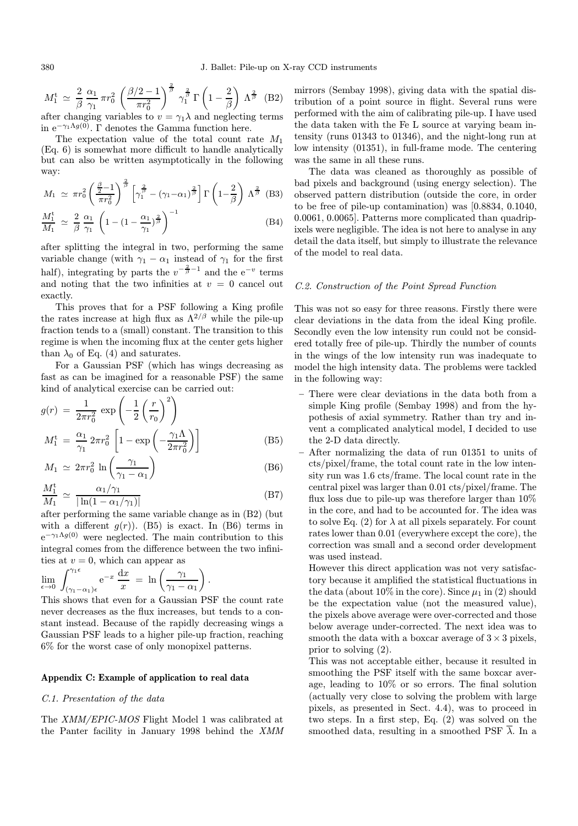$$
M_1^{\text{t}} \simeq \frac{2}{\beta} \frac{\alpha_1}{\gamma_1} \pi r_0^2 \left( \frac{\beta/2 - 1}{\pi r_0^2} \right)^{\frac{2}{\beta}} \gamma_1^{\frac{2}{\beta}} \Gamma\left(1 - \frac{2}{\beta}\right) \Lambda^{\frac{2}{\beta}} \text{ (B2)}
$$
after changing variables to  $y = \gamma_1 \lambda$  and neglecting terms

after changing variables to  $v = \gamma_1 \lambda$  and neglecting terms in  $e^{-\gamma_1 \Lambda g(0)}$ . Γ denotes the Gamma function here.

The expectation value of the total count rate  $M_1$ (Eq. 6) is somewhat more difficult to handle analytically but can also be written asymptotically in the following way:

$$
M_1 \simeq \pi r_0^2 \left(\frac{\frac{\beta}{2}-1}{\pi r_0^2}\right)^{\frac{2}{\beta}} \left[\gamma_1^{\frac{2}{\beta}} - (\gamma_1 - \alpha_1)^{\frac{2}{\beta}}\right] \Gamma\left(1 - \frac{2}{\beta}\right) \Lambda^{\frac{2}{\beta}} \quad \text{(B3)}
$$

$$
\frac{M_1^t}{M_1} \simeq \frac{2}{\beta} \frac{\alpha_1}{\gamma_1} \left( 1 - \left( 1 - \frac{\alpha_1}{\gamma_1} \right)^{\frac{2}{\beta}} \right)^{-1} \tag{B4}
$$

after splitting the integral in two, performing the same variable change (with  $\gamma_1 - \alpha_1$  instead of  $\gamma_1$  for the first half), integrating by parts the  $v^{-\frac{2}{\beta}-1}$  and the e<sup>-v</sup> terms and noting that the two infinities at  $v = 0$  cancel out exactly.

This proves that for a PSF following a King profile the rates increase at high flux as  $\Lambda^{2/\beta}$  while the pile-up fraction tends to a (small) constant. The transition to this regime is when the incoming flux at the center gets higher than  $\lambda_0$  of Eq. (4) and saturates.

For a Gaussian PSF (which has wings decreasing as fast as can be imagined for a reasonable PSF) the same kind of analytical exercise can be carried out:

$$
g(r) = \frac{1}{2\pi r_0^2} \exp\left(-\frac{1}{2}\left(\frac{r}{r_0}\right)^2\right)
$$

$$
M_1^{\text{t}} = \frac{\alpha_1}{\gamma_1} 2\pi r_0^2 \left[1 - \exp\left(-\frac{\gamma_1 \Lambda}{2\pi r_0^2}\right)\right]
$$
(B5)

$$
M_1 \simeq 2\pi r_0^2 \ln\left(\frac{\gamma_1}{\gamma_1 - \alpha_1}\right) \tag{B6}
$$

$$
\frac{M_1^{\text{t}}}{M_1} \simeq \frac{\alpha_1/\gamma_1}{|\ln(1 - \alpha_1/\gamma_1)|} \tag{B7}
$$

after performing the same variable change as in (B2) (but with a different  $q(r)$ ). (B5) is exact. In (B6) terms in  $e^{-\gamma_1 \Lambda g(0)}$  were neglected. The main contribution to this integral comes from the difference between the two infinities at  $v = 0$ , which can appear as

$$
\lim_{\epsilon \to 0} \int_{(\gamma_1 - \alpha_1)\epsilon}^{\gamma_1 \epsilon} e^{-x} \frac{dx}{x} = \ln \left( \frac{\gamma_1}{\gamma_1 - \alpha_1} \right).
$$

This shows that even for a Gaussian PSF the count rate never decreases as the flux increases, but tends to a constant instead. Because of the rapidly decreasing wings a Gaussian PSF leads to a higher pile-up fraction, reaching 6% for the worst case of only monopixel patterns.

## Appendix C: Example of application to real data

#### C.1. Presentation of the data

The XMM/EPIC-MOS Flight Model 1 was calibrated at the Panter facility in January 1998 behind the XMM mirrors (Sembay 1998), giving data with the spatial distribution of a point source in flight. Several runs were performed with the aim of calibrating pile-up. I have used the data taken with the Fe L source at varying beam intensity (runs 01343 to 01346), and the night-long run at low intensity (01351), in full-frame mode. The centering was the same in all these runs.

The data was cleaned as thoroughly as possible of bad pixels and background (using energy selection). The observed pattern distribution (outside the core, in order to be free of pile-up contamination) was [0.8834, 0.1040, 0.0061, 0.0065]. Patterns more complicated than quadripixels were negligible. The idea is not here to analyse in any detail the data itself, but simply to illustrate the relevance of the model to real data.

## C.2. Construction of the Point Spread Function

This was not so easy for three reasons. Firstly there were clear deviations in the data from the ideal King profile. Secondly even the low intensity run could not be considered totally free of pile-up. Thirdly the number of counts in the wings of the low intensity run was inadequate to model the high intensity data. The problems were tackled in the following way:

- There were clear deviations in the data both from a simple King profile (Sembay 1998) and from the hypothesis of axial symmetry. Rather than try and invent a complicated analytical model, I decided to use the 2-D data directly.
- After normalizing the data of run 01351 to units of cts/pixel/frame, the total count rate in the low intensity run was 1.6 cts/frame. The local count rate in the central pixel was larger than 0.01 cts/pixel/frame. The flux loss due to pile-up was therefore larger than 10% in the core, and had to be accounted for. The idea was to solve Eq. (2) for  $\lambda$  at all pixels separately. For count rates lower than 0.01 (everywhere except the core), the correction was small and a second order development was used instead.

However this direct application was not very satisfactory because it amplified the statistical fluctuations in the data (about 10% in the core). Since  $\mu_1$  in (2) should be the expectation value (not the measured value), the pixels above average were over-corrected and those below average under-corrected. The next idea was to smooth the data with a boxcar average of  $3 \times 3$  pixels, prior to solving (2).

This was not acceptable either, because it resulted in smoothing the PSF itself with the same boxcar average, leading to 10% or so errors. The final solution (actually very close to solving the problem with large pixels, as presented in Sect. 4.4), was to proceed in two steps. In a first step, Eq. (2) was solved on the smoothed data, resulting in a smoothed PSF  $\overline{\lambda}$ . In a